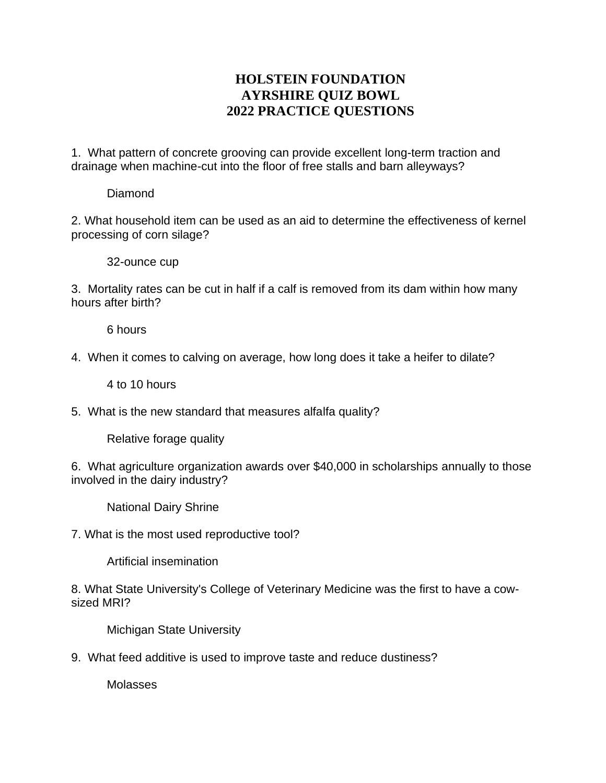## **HOLSTEIN FOUNDATION AYRSHIRE QUIZ BOWL 2022 PRACTICE QUESTIONS**

1. What pattern of concrete grooving can provide excellent long-term traction and drainage when machine-cut into the floor of free stalls and barn alleyways?

Diamond

2. What household item can be used as an aid to determine the effectiveness of kernel processing of corn silage?

32-ounce cup

3. Mortality rates can be cut in half if a calf is removed from its dam within how many hours after birth?

6 hours

4. When it comes to calving on average, how long does it take a heifer to dilate?

4 to 10 hours

5. What is the new standard that measures alfalfa quality?

Relative forage quality

6. What agriculture organization awards over \$40,000 in scholarships annually to those involved in the dairy industry?

National Dairy Shrine

7. What is the most used reproductive tool?

Artificial insemination

8. What State University's College of Veterinary Medicine was the first to have a cowsized MRI?

Michigan State University

9. What feed additive is used to improve taste and reduce dustiness?

Molasses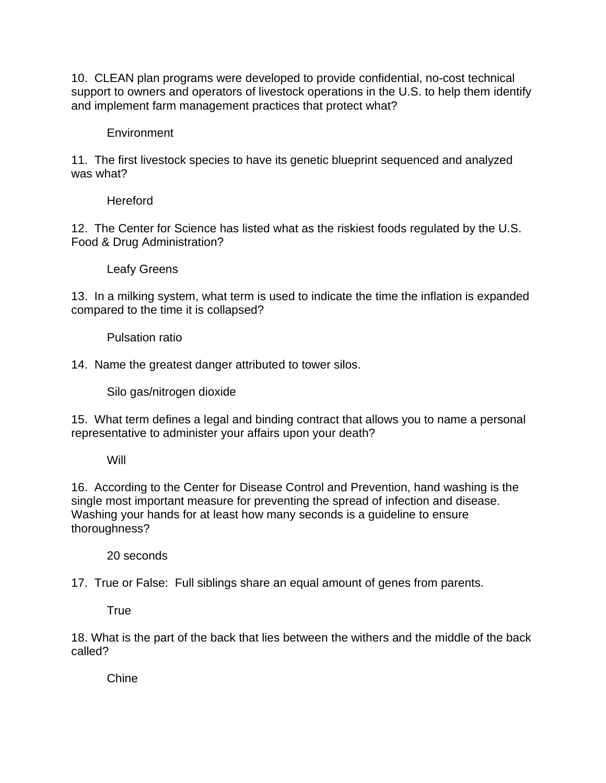10. CLEAN plan programs were developed to provide confidential, no-cost technical support to owners and operators of livestock operations in the U.S. to help them identify and implement farm management practices that protect what?

## **Environment**

11. The first livestock species to have its genetic blueprint sequenced and analyzed was what?

Hereford

12. The Center for Science has listed what as the riskiest foods regulated by the U.S. Food & Drug Administration?

Leafy Greens

13. In a milking system, what term is used to indicate the time the inflation is expanded compared to the time it is collapsed?

Pulsation ratio

14. Name the greatest danger attributed to tower silos.

Silo gas/nitrogen dioxide

15. What term defines a legal and binding contract that allows you to name a personal representative to administer your affairs upon your death?

## Will

16. According to the Center for Disease Control and Prevention, hand washing is the single most important measure for preventing the spread of infection and disease. Washing your hands for at least how many seconds is a guideline to ensure thoroughness?

20 seconds

17. True or False: Full siblings share an equal amount of genes from parents.

**True** 

18. What is the part of the back that lies between the withers and the middle of the back called?

Chine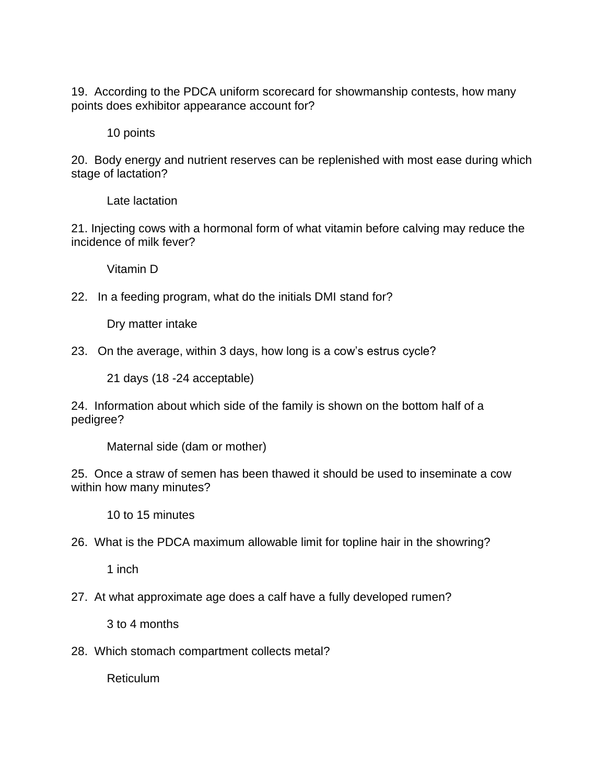19. According to the PDCA uniform scorecard for showmanship contests, how many points does exhibitor appearance account for?

10 points

20. Body energy and nutrient reserves can be replenished with most ease during which stage of lactation?

Late lactation

21. Injecting cows with a hormonal form of what vitamin before calving may reduce the incidence of milk fever?

Vitamin D

22. In a feeding program, what do the initials DMI stand for?

Dry matter intake

23. On the average, within 3 days, how long is a cow's estrus cycle?

21 days (18 -24 acceptable)

24. Information about which side of the family is shown on the bottom half of a pedigree?

Maternal side (dam or mother)

25. Once a straw of semen has been thawed it should be used to inseminate a cow within how many minutes?

10 to 15 minutes

1 inch

27. At what approximate age does a calf have a fully developed rumen?

3 to 4 months

28. Which stomach compartment collects metal?

Reticulum

<sup>26.</sup> What is the PDCA maximum allowable limit for topline hair in the showring?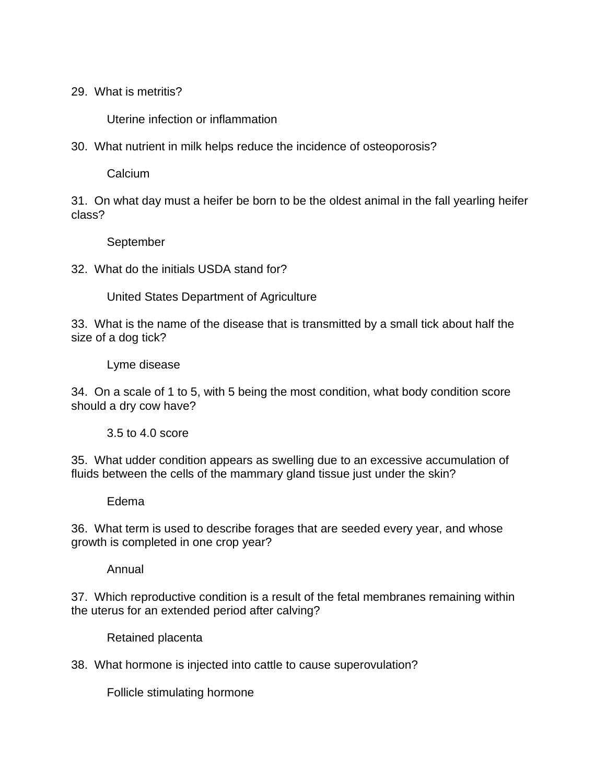29. What is metritis?

Uterine infection or inflammation

30. What nutrient in milk helps reduce the incidence of osteoporosis?

Calcium

31. On what day must a heifer be born to be the oldest animal in the fall yearling heifer class?

September

32. What do the initials USDA stand for?

United States Department of Agriculture

33. What is the name of the disease that is transmitted by a small tick about half the size of a dog tick?

Lyme disease

34. On a scale of 1 to 5, with 5 being the most condition, what body condition score should a dry cow have?

3.5 to 4.0 score

35. What udder condition appears as swelling due to an excessive accumulation of fluids between the cells of the mammary gland tissue just under the skin?

Edema

36. What term is used to describe forages that are seeded every year, and whose growth is completed in one crop year?

Annual

37. Which reproductive condition is a result of the fetal membranes remaining within the uterus for an extended period after calving?

Retained placenta

38. What hormone is injected into cattle to cause superovulation?

Follicle stimulating hormone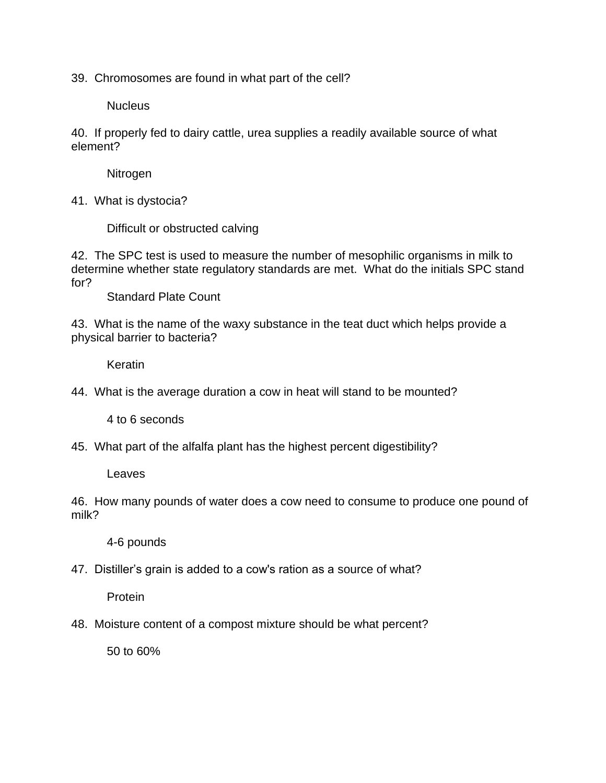39. Chromosomes are found in what part of the cell?

**Nucleus** 

40. If properly fed to dairy cattle, urea supplies a readily available source of what element?

Nitrogen

41. What is dystocia?

Difficult or obstructed calving

42. The SPC test is used to measure the number of mesophilic organisms in milk to determine whether state regulatory standards are met. What do the initials SPC stand for?

Standard Plate Count

43. What is the name of the waxy substance in the teat duct which helps provide a physical barrier to bacteria?

Keratin

44. What is the average duration a cow in heat will stand to be mounted?

4 to 6 seconds

45. What part of the alfalfa plant has the highest percent digestibility?

Leaves

46. How many pounds of water does a cow need to consume to produce one pound of milk?

4-6 pounds

47. Distiller's grain is added to a cow's ration as a source of what?

Protein

48. Moisture content of a compost mixture should be what percent?

50 to 60%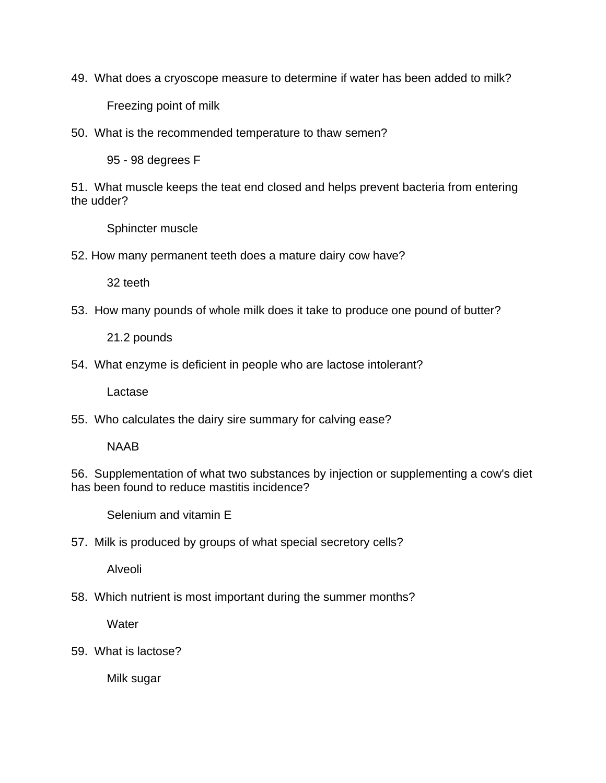49. What does a cryoscope measure to determine if water has been added to milk?

Freezing point of milk

50. What is the recommended temperature to thaw semen?

95 - 98 degrees F

51. What muscle keeps the teat end closed and helps prevent bacteria from entering the udder?

Sphincter muscle

52. How many permanent teeth does a mature dairy cow have?

32 teeth

53. How many pounds of whole milk does it take to produce one pound of butter?

21.2 pounds

54. What enzyme is deficient in people who are lactose intolerant?

Lactase

55. Who calculates the dairy sire summary for calving ease?

NAAB

56. Supplementation of what two substances by injection or supplementing a cow's diet has been found to reduce mastitis incidence?

Selenium and vitamin E

57. Milk is produced by groups of what special secretory cells?

Alveoli

58. Which nutrient is most important during the summer months?

**Water** 

59. What is lactose?

Milk sugar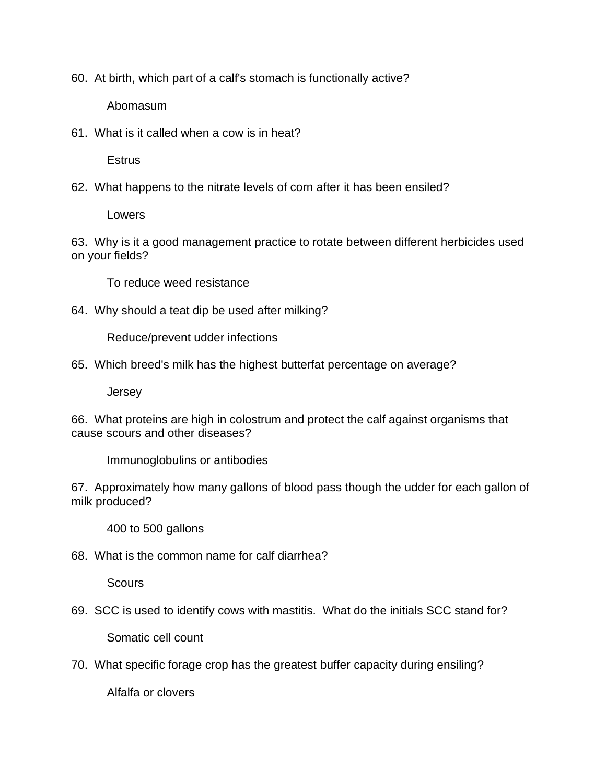60. At birth, which part of a calf's stomach is functionally active?

Abomasum

61. What is it called when a cow is in heat?

**Estrus** 

62. What happens to the nitrate levels of corn after it has been ensiled?

Lowers

63. Why is it a good management practice to rotate between different herbicides used on your fields?

To reduce weed resistance

64. Why should a teat dip be used after milking?

Reduce/prevent udder infections

65. Which breed's milk has the highest butterfat percentage on average?

Jersey

66. What proteins are high in colostrum and protect the calf against organisms that cause scours and other diseases?

Immunoglobulins or antibodies

67. Approximately how many gallons of blood pass though the udder for each gallon of milk produced?

400 to 500 gallons

68. What is the common name for calf diarrhea?

**Scours** 

69. SCC is used to identify cows with mastitis. What do the initials SCC stand for?

Somatic cell count

70. What specific forage crop has the greatest buffer capacity during ensiling?

Alfalfa or clovers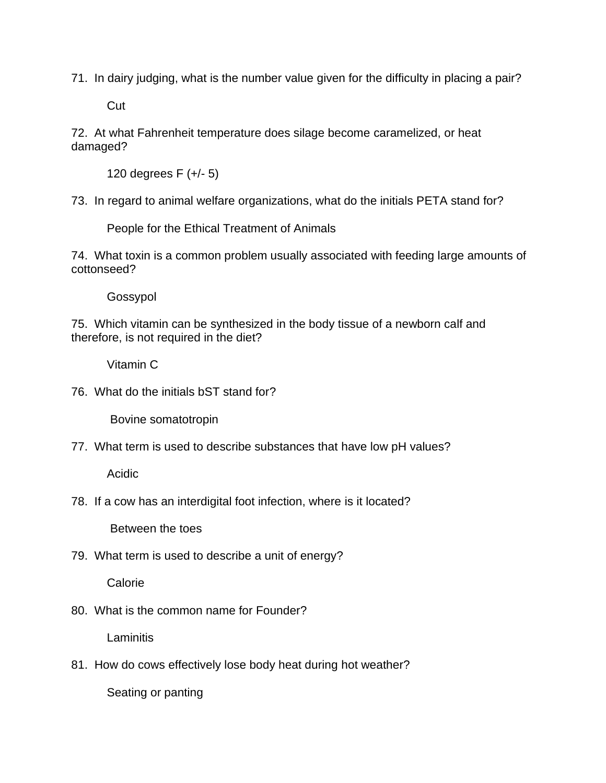71. In dairy judging, what is the number value given for the difficulty in placing a pair?

**Cut** 

72. At what Fahrenheit temperature does silage become caramelized, or heat damaged?

120 degrees F (+/- 5)

73. In regard to animal welfare organizations, what do the initials PETA stand for?

People for the Ethical Treatment of Animals

74. What toxin is a common problem usually associated with feeding large amounts of cottonseed?

Gossypol

75. Which vitamin can be synthesized in the body tissue of a newborn calf and therefore, is not required in the diet?

Vitamin C

76. What do the initials bST stand for?

Bovine somatotropin

77. What term is used to describe substances that have low pH values?

Acidic

78. If a cow has an interdigital foot infection, where is it located?

Between the toes

79. What term is used to describe a unit of energy?

Calorie

80. What is the common name for Founder?

**Laminitis** 

81. How do cows effectively lose body heat during hot weather?

Seating or panting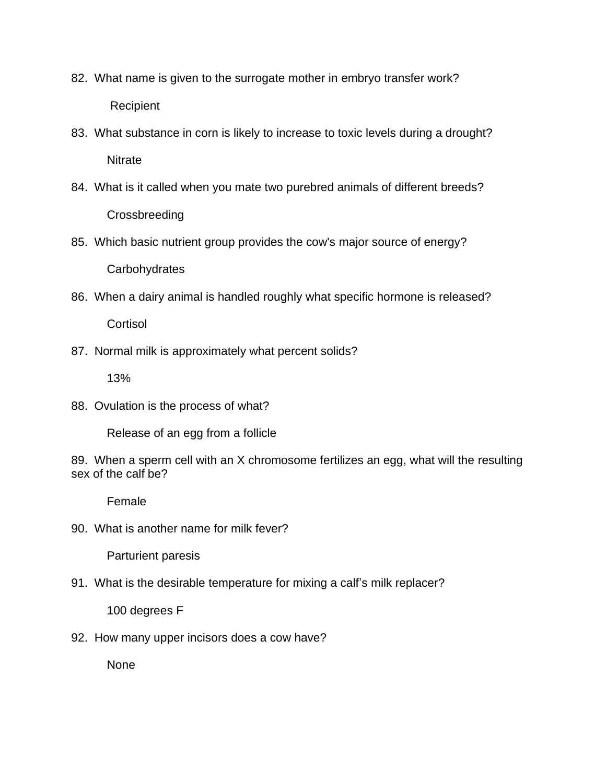- 82. What name is given to the surrogate mother in embryo transfer work? Recipient
- 83. What substance in corn is likely to increase to toxic levels during a drought? **Nitrate**
- 84. What is it called when you mate two purebred animals of different breeds? **Crossbreeding**
- 85. Which basic nutrient group provides the cow's major source of energy? **Carbohydrates**
- 86. When a dairy animal is handled roughly what specific hormone is released? **Cortisol**
- 87. Normal milk is approximately what percent solids?

13%

88. Ovulation is the process of what?

Release of an egg from a follicle

89. When a sperm cell with an X chromosome fertilizes an egg, what will the resulting sex of the calf be?

Female

90. What is another name for milk fever?

Parturient paresis

91. What is the desirable temperature for mixing a calf's milk replacer?

100 degrees F

92. How many upper incisors does a cow have?

None